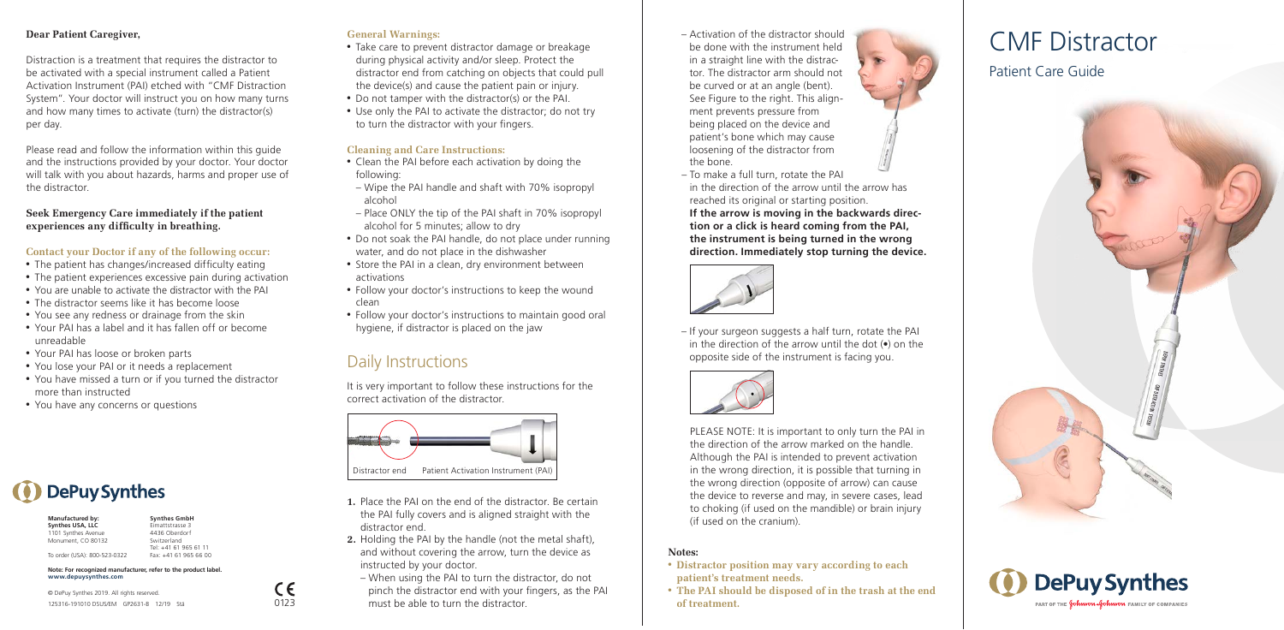## **Dear Patient Caregiver,**

Distraction is a treatment that requires the distractor to be activated with a special instrument called a Patient Activation Instrument (PAI) etched with "CMF Distraction System". Your doctor will instruct you on how many turns and how many times to activate (turn) the distractor(s) per day.

Please read and follow the information within this guide and the instructions provided by your doctor. Your doctor will talk with you about hazards, harms and proper use of the distractor.

**Seek Emergency Care immediately if the patient experiences any difficulty in breathing.**

## **Contact your Doctor if any of the following occur:**

- The patient has changes/increased difficulty eating
- The patient experiences excessive pain during activation
- You are unable to activate the distractor with the PAI
- The distractor seems like it has become loose
- You see any redness or drainage from the skin
- Your PAI has a label and it has fallen off or become unreadable
- Your PAI has loose or broken parts
- You lose your PAI or it needs a replacement
- You have missed a turn or if you turned the distractor more than instructed

**Synthes GmbH** Eimattstrasse 3 4436 Oberdorf Switzerland Tel: +41 61 965 61 11 Fax: +41 61 965 66 00

 $\epsilon$ 

• You have any concerns or questions

**DePuy Synthes** 

## **General Warnings:**

- Take care to prevent distractor damage or breakage during physical activity and/or sleep. Protect the distractor end from catching on objects that could pull the device(s) and cause the patient pain or injury.
- Do not tamper with the distractor(s) or the PAI.
- Use only the PAI to activate the distractor; do not try to turn the distractor with your fingers.

## **Cleaning and Care Instructions:**

- Clean the PAI before each activation by doing the following:
- Wipe the PAI handle and shaft with 70% isopropyl alcohol
- Place ONLY the tip of the PAI shaft in 70% isopropyl alcohol for 5 minutes; allow to dry
- Do not soak the PAI handle, do not place under running water, and do not place in the dishwasher
- Store the PAI in a clean, dry environment between activations
- Follow your doctor's instructions to keep the wound clean
- Follow your doctor's instructions to maintain good oral hygiene, if distractor is placed on the jaw

## Daily Instructions

It is very important to follow these instructions for the correct activation of the distractor.



Distractor end Patient Activation Instrument (PAI)

- **1.** Place the PAI on the end of the distractor. Be certain the PAI fully covers and is aligned straight with the distractor end.
- **2.** Holding the PAI by the handle (not the metal shaft), and without covering the arrow, turn the device as instructed by your doctor.
- When using the PAI to turn the distractor, do not pinch the distractor end with your fingers, as the PAI must be able to turn the distractor. 0123 **of treatment.**
- Activation of the distractor should be done with the instrument held in a straight line with the distractor. The distractor arm should not be curved or at an angle (bent). See Figure to the right. This alignment prevents pressure from being placed on the device and patient's bone which may cause loosening of the distractor from the bone.
- To make a full turn, rotate the PAI in the direction of the arrow until the arrow has reached its original or starting position. **If the arrow is moving in the backwards direction or a click is heard coming from the PAI, the instrument is being turned in the wrong direction. Immediately stop turning the device.**

**DER DISTRACTION SYSTEM**



– If your surgeon suggests a half turn, rotate the PAI in the direction of the arrow until the dot (•) on the opposite side of the instrument is facing you.



PLEASE NOTE: It is important to only turn the PAI in the direction of the arrow marked on the handle. Although the PAI is intended to prevent activation in the wrong direction, it is possible that turning in the wrong direction (opposite of arrow) can cause the device to reverse and may, in severe cases, lead to choking (if used on the mandible) or brain injury (if used on the cranium).

## **Notes:**

- • **Distractor position may vary according to each patient's treatment needs.**
- • **The PAI should be disposed of in the trash at the end**

## CMF Distractor

## Patient Care Guide





125316-191010 DSUS/EM GP2631-B 12/19 Stä © DePuy Synthes 2019. All rights reserved.

**Note: For recognized manufacturer, refer to the product label.**

**Manufactured by: Synthes USA, LLC** 1101 Synthes Avenue Monument, CO 80132 To order (USA): 800-523-0322

**www.depuysynthes.com**